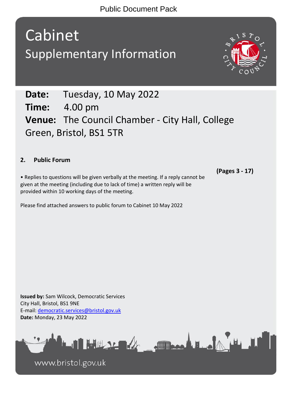Cabinet Supplementary Information



## **2. Public Forum**

• Replies to questions will be given verbally at the meeting. If a reply cannot be given at the meeting (including due to lack of time) a written reply will be provided within 10 working days of the meeting.

Please find attached answers to public forum to Cabinet 10 May 2022

**(Pages 3 - 17)**

**Issued by:** Sam Wilcock, Democratic Services City Hall, Bristol, BS1 9NE E-mail: [democratic.services@bristol.gov.uk](mailto:democratic.services@bristol.gov.uk) **Date:** Monday, 23 May 2022



www.bristol.gov.uk

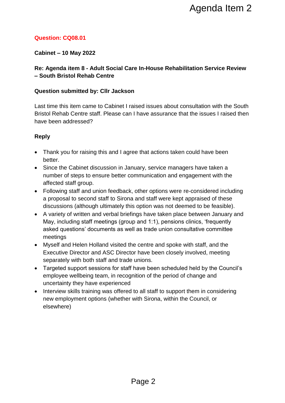## **Question: CQ08.01**

## **Cabinet – 10 May 2022**

## **Re: Agenda item 8 - Adult Social Care In-House Rehabilitation Service Review – South Bristol Rehab Centre**

### **Question submitted by: Cllr Jackson**

Last time this item came to Cabinet I raised issues about consultation with the South Bristol Rehab Centre staff. Please can I have assurance that the issues I raised then have been addressed?

- Thank you for raising this and I agree that actions taken could have been better.
- Since the Cabinet discussion in January, service managers have taken a number of steps to ensure better communication and engagement with the affected staff group.
- Following staff and union feedback, other options were re-considered including a proposal to second staff to Sirona and staff were kept appraised of these discussions (although ultimately this option was not deemed to be feasible).
- A variety of written and verbal briefings have taken place between January and May, including staff meetings (group and 1:1), pensions clinics, 'frequently asked questions' documents as well as trade union consultative committee meetings Agenda Item 2<br>
n<br>
n<br>
n<br>
aised issues about consultation with the South<br>
1 have assurance that the issues I raised then<br>
n<br>
ee that actions taken could have been<br>
nuary, service managers have taken a<br>
nommunication and enga
- Myself and Helen Holland visited the centre and spoke with staff, and the Executive Director and ASC Director have been closely involved, meeting separately with both staff and trade unions.
- Targeted support sessions for staff have been scheduled held by the Council's employee wellbeing team, in recognition of the period of change and uncertainty they have experienced
- Interview skills training was offered to all staff to support them in considering new employment options (whether with Sirona, within the Council, or elsewhere)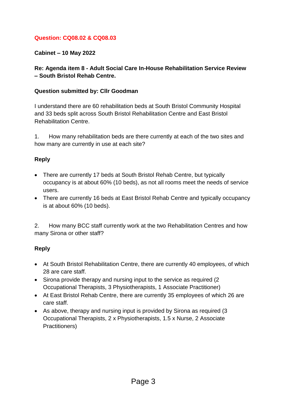### **Question: CQ08.02 & CQ08.03**

**Cabinet – 10 May 2022**

**Re: Agenda item 8 - Adult Social Care In-House Rehabilitation Service Review – South Bristol Rehab Centre.**

#### **Question submitted by: Cllr Goodman**

I understand there are 60 rehabilitation beds at South Bristol Community Hospital and 33 beds split across South Bristol Rehabilitation Centre and East Bristol Rehabilitation Centre.

1. How many rehabilitation beds are there currently at each of the two sites and how many are currently in use at each site?

#### **Reply**

- There are currently 17 beds at South Bristol Rehab Centre, but typically occupancy is at about 60% (10 beds), as not all rooms meet the needs of service users.
- There are currently 16 beds at East Bristol Rehab Centre and typically occupancy is at about 60% (10 beds).

2. How many BCC staff currently work at the two Rehabilitation Centres and how many Sirona or other staff?

- At South Bristol Rehabilitation Centre, there are currently 40 employees, of which 28 are care staff.
- Sirona provide therapy and nursing input to the service as required (2) Occupational Therapists, 3 Physiotherapists, 1 Associate Practitioner)
- At East Bristol Rehab Centre, there are currently 35 employees of which 26 are care staff.
- As above, therapy and nursing input is provided by Sirona as required (3) Occupational Therapists, 2 x Physiotherapists, 1.5 x Nurse, 2 Associate Practitioners)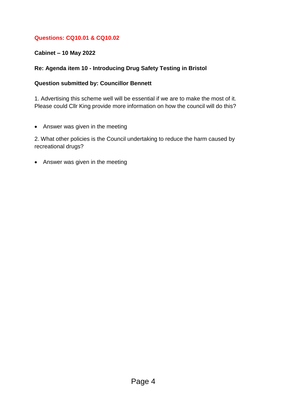## **Questions: CQ10.01 & CQ10.02**

## **Cabinet – 10 May 2022**

## **Re: Agenda item 10 - Introducing Drug Safety Testing in Bristol**

### **Question submitted by: Councillor Bennett**

1. Advertising this scheme well will be essential if we are to make the most of it. Please could Cllr King provide more information on how the council will do this?

• Answer was given in the meeting

2. What other policies is the Council undertaking to reduce the harm caused by recreational drugs?

• Answer was given in the meeting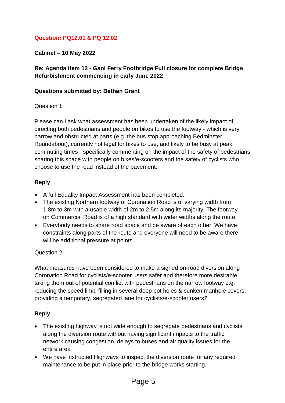## **Question: PQ12.01 & PQ 12.02**

**Cabinet – 10 May 2022**

## **Re: Agenda item 12 - Gaol Ferry Footbridge Full closure for complete Bridge Refurbishment commencing in early June 2022**

#### **Questions submitted by: Bethan Grant**

#### Question 1:

Please can I ask what assessment has been undertaken of the likely impact of directing both pedestrians and people on bikes to use the footway - which is very narrow and obstructed at parts (e.g. the bus stop approaching Bedminster Roundabout), currently not legal for bikes to use, and likely to be busy at peak commuting times - specifically commenting on the impact of the safety of pedestrians sharing this space with people on bikes/e-scooters and the safety of cyclists who choose to use the road instead of the pavement.

#### **Reply**

- A full Equality Impact Assessment has been completed.
- The existing Northern footway of Coronation Road is of varying width from 1.8m to 3m with a usable width of 2m to 2.5m along its majority. The footway on Commercial Road is of a high standard with wider widths along the route.
- Everybody needs to share road space and be aware of each other. We have constraints along parts of the route and everyone will need to be aware there will be additional pressure at points.

#### Question 2:

What measures have been considered to make a signed on-road diversion along Coronation Road for cyclists/e-scooter users safer and therefore more desirable, taking them out of potential conflict with pedestrians on the narrow footway e.g. reducing the speed limit, filling in several deep pot holes & sunken manhole covers, providing a temporary, segregated lane for cyclists/e-scooter users?

- The existing highway is not wide enough to segregate pedestrians and cyclists along the diversion route without having significant impacts to the traffic network causing congestion, delays to buses and air quality issues for the entire area
- We have instructed Highways to inspect the diversion route for any required maintenance to be put in place prior to the bridge works starting.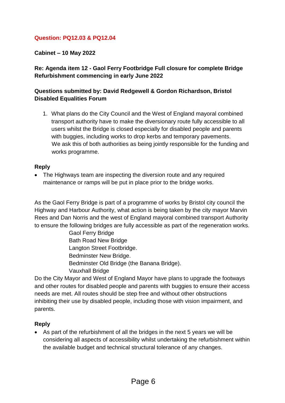### **Question: PQ12.03 & PQ12.04**

**Cabinet – 10 May 2022**

## **Re: Agenda item 12 - Gaol Ferry Footbridge Full closure for complete Bridge Refurbishment commencing in early June 2022**

### **Questions submitted by: David Redgewell & Gordon Richardson, Bristol Disabled Equalities Forum**

1. What plans do the City Council and the West of England mayoral combined transport authority have to make the diversionary route fully accessible to all users whilst the Bridge is closed especially for disabled people and parents with buggies, including works to drop kerbs and temporary pavements. We ask this of both authorities as being jointly responsible for the funding and works programme.

#### **Reply**

• The Highways team are inspecting the diversion route and any required maintenance or ramps will be put in place prior to the bridge works.

As the Gaol Ferry Bridge is part of a programme of works by Bristol city council the Highway and Harbour Authority, what action is being taken by the city mayor Marvin Rees and Dan Norris and the west of England mayoral combined transport Authority to ensure the following bridges are fully accessible as part of the regeneration works.

> Gaol Ferry Bridge Bath Road New Bridge Langton Street Footbridge. Bedminster New Bridge. Bedminster Old Bridge (the Banana Bridge). Vauxhall Bridge

Do the City Mayor and West of England Mayor have plans to upgrade the footways and other routes for disabled people and parents with buggies to ensure their access needs are met. All routes should be step free and without other obstructions inhibiting their use by disabled people, including those with vision impairment, and parents.

## **Reply**

 As part of the refurbishment of all the bridges in the next 5 years we will be considering all aspects of accessibility whilst undertaking the refurbishment within the available budget and technical structural tolerance of any changes.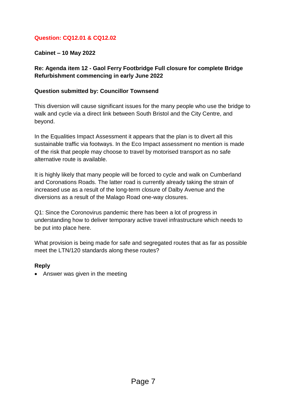## **Question: CQ12.01 & CQ12.02**

**Cabinet – 10 May 2022**

## **Re: Agenda item 12 - Gaol Ferry Footbridge Full closure for complete Bridge Refurbishment commencing in early June 2022**

#### **Question submitted by: Councillor Townsend**

This diversion will cause significant issues for the many people who use the bridge to walk and cycle via a direct link between South Bristol and the City Centre, and beyond.

In the Equalities Impact Assessment it appears that the plan is to divert all this sustainable traffic via footways. In the Eco Impact assessment no mention is made of the risk that people may choose to travel by motorised transport as no safe alternative route is available.

It is highly likely that many people will be forced to cycle and walk on Cumberland and Coronations Roads. The latter road is currently already taking the strain of increased use as a result of the long-term closure of Dalby Avenue and the diversions as a result of the Malago Road one-way closures.

Q1: Since the Coronovirus pandemic there has been a lot of progress in understanding how to deliver temporary active travel infrastructure which needs to be put into place here.

What provision is being made for safe and segregated routes that as far as possible meet the LTN/120 standards along these routes?

#### **Reply**

• Answer was given in the meeting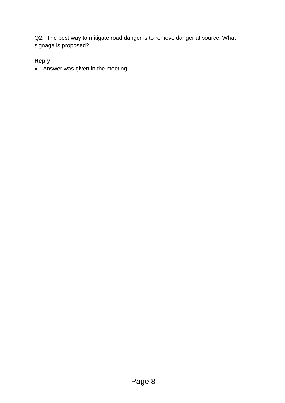Q2: The best way to mitigate road danger is to remove danger at source. What signage is proposed?

# **Reply**

Answer was given in the meeting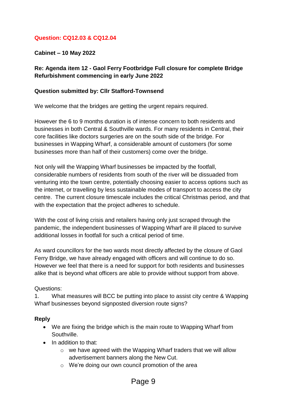### **Question: CQ12.03 & CQ12.04**

**Cabinet – 10 May 2022**

### **Re: Agenda item 12 - Gaol Ferry Footbridge Full closure for complete Bridge Refurbishment commencing in early June 2022**

#### **Question submitted by: Cllr Stafford-Townsend**

We welcome that the bridges are getting the urgent repairs required.

However the 6 to 9 months duration is of intense concern to both residents and businesses in both Central & Southville wards. For many residents in Central, their core facilities like doctors surgeries are on the south side of the bridge. For businesses in Wapping Wharf, a considerable amount of customers (for some businesses more than half of their customers) come over the bridge.

Not only will the Wapping Wharf businesses be impacted by the footfall, considerable numbers of residents from south of the river will be dissuaded from venturing into the town centre, potentially choosing easier to access options such as the internet, or travelling by less sustainable modes of transport to access the city centre. The current closure timescale includes the critical Christmas period, and that with the expectation that the project adheres to schedule.

With the cost of living crisis and retailers having only just scraped through the pandemic, the independent businesses of Wapping Wharf are ill placed to survive additional losses in footfall for such a critical period of time.

As ward councillors for the two wards most directly affected by the closure of Gaol Ferry Bridge, we have already engaged with officers and will continue to do so. However we feel that there is a need for support for both residents and businesses alike that is beyond what officers are able to provide without support from above.

#### Questions:

1. What measures will BCC be putting into place to assist city centre & Wapping Wharf businesses beyond signposted diversion route signs?

- We are fixing the bridge which is the main route to Wapping Wharf from Southville.
- In addition to that:
	- $\circ$  we have agreed with the Wapping Wharf traders that we will allow advertisement banners along the New Cut.
	- o We're doing our own council promotion of the area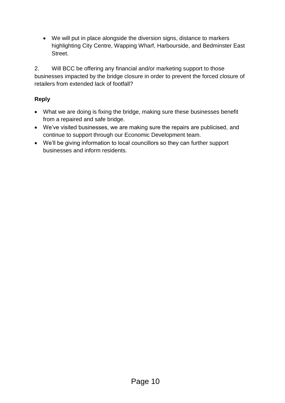We will put in place alongside the diversion signs, distance to markers highlighting City Centre, Wapping Wharf, Harbourside, and Bedminster East Street.

2. Will BCC be offering any financial and/or marketing support to those businesses impacted by the bridge closure in order to prevent the forced closure of retailers from extended lack of footfall?

- What we are doing is fixing the bridge, making sure these businesses benefit from a repaired and safe bridge.
- We've visited businesses, we are making sure the repairs are publicised, and continue to support through our Economic Development team.
- We'll be giving information to local councillors so they can further support businesses and inform residents.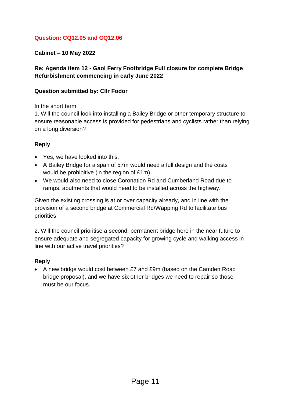## **Question: CQ12.05 and CQ12.06**

## **Cabinet – 10 May 2022**

## **Re: Agenda item 12 - Gaol Ferry Footbridge Full closure for complete Bridge Refurbishment commencing in early June 2022**

#### **Question submitted by: Cllr Fodor**

In the short term:

1. Will the council look into installing a Bailey Bridge or other temporary structure to ensure reasonable access is provided for pedestrians and cyclists rather than relying on a long diversion?

### **Reply**

- Yes, we have looked into this.
- A Bailey Bridge for a span of 57m would need a full design and the costs would be prohibitive (in the region of £1m).
- We would also need to close Coronation Rd and Cumberland Road due to ramps, abutments that would need to be installed across the highway.

Given the existing crossing is at or over capacity already, and in line with the provision of a second bridge at Commercial Rd/Wapping Rd to facilitate bus priorities:

2. Will the council prioritise a second, permanent bridge here in the near future to ensure adequate and segregated capacity for growing cycle and walking access in line with our active travel priorities?

## **Reply**

 A new bridge would cost between £7 and £9m (based on the Camden Road bridge proposal), and we have six other bridges we need to repair so those must be our focus.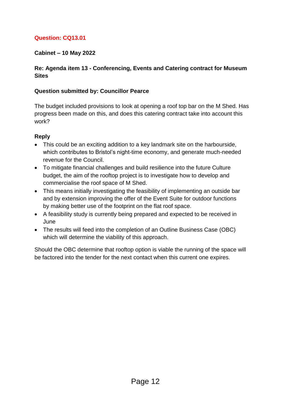## **Question: CQ13.01**

### **Cabinet – 10 May 2022**

### **Re: Agenda item 13 - Conferencing, Events and Catering contract for Museum Sites**

#### **Question submitted by: Councillor Pearce**

The budget included provisions to look at opening a roof top bar on the M Shed. Has progress been made on this, and does this catering contract take into account this work?

### **Reply**

- This could be an exciting addition to a key landmark site on the harbourside, which contributes to Bristol's night-time economy, and generate much-needed revenue for the Council.
- To mitigate financial challenges and build resilience into the future Culture budget, the aim of the rooftop project is to investigate how to develop and commercialise the roof space of M Shed.
- This means initially investigating the feasibility of implementing an outside bar and by extension improving the offer of the Event Suite for outdoor functions by making better use of the footprint on the flat roof space.
- A feasibility study is currently being prepared and expected to be received in June
- The results will feed into the completion of an Outline Business Case (OBC) which will determine the viability of this approach.

Should the OBC determine that rooftop option is viable the running of the space will be factored into the tender for the next contact when this current one expires.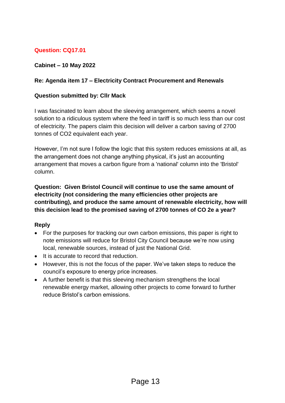# **Question: CQ17.01**

### **Cabinet – 10 May 2022**

### **Re: Agenda item 17 – Electricity Contract Procurement and Renewals**

#### **Question submitted by: Cllr Mack**

I was fascinated to learn about the sleeving arrangement, which seems a novel solution to a ridiculous system where the feed in tariff is so much less than our cost of electricity. The papers claim this decision will deliver a carbon saving of 2700 tonnes of CO2 equivalent each year.

However, I'm not sure I follow the logic that this system reduces emissions at all, as the arrangement does not change anything physical, it's just an accounting arrangement that moves a carbon figure from a 'national' column into the 'Bristol' column.

**Question: Given Bristol Council will continue to use the same amount of electricity (not considering the many efficiencies other projects are contributing), and produce the same amount of renewable electricity, how will this decision lead to the promised saving of 2700 tonnes of CO 2e a year?**

- For the purposes for tracking our own carbon emissions, this paper is right to note emissions will reduce for Bristol City Council because we're now using local, renewable sources, instead of just the National Grid.
- It is accurate to record that reduction.
- However, this is not the focus of the paper. We've taken steps to reduce the council's exposure to energy price increases.
- A further benefit is that this sleeving mechanism strengthens the local renewable energy market, allowing other projects to come forward to further reduce Bristol's carbon emissions.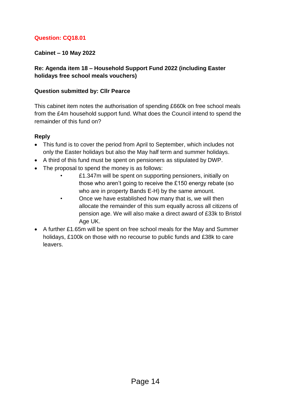## **Question: CQ18.01**

### **Cabinet – 10 May 2022**

### **Re: Agenda item 18 – Household Support Fund 2022 (including Easter holidays free school meals vouchers)**

#### **Question submitted by: Cllr Pearce**

This cabinet item notes the authorisation of spending £660k on free school meals from the £4m household support fund. What does the Council intend to spend the remainder of this fund on?

- This fund is to cover the period from April to September, which includes not only the Easter holidays but also the May half term and summer holidays.
- A third of this fund must be spent on pensioners as stipulated by DWP.
- The proposal to spend the money is as follows:
	- £1.347m will be spent on supporting pensioners, initially on those who aren't going to receive the £150 energy rebate (so who are in property Bands E-H) by the same amount.
	- Once we have established how many that is, we will then allocate the remainder of this sum equally across all citizens of pension age. We will also make a direct award of £33k to Bristol Age UK.
- A further £1.65m will be spent on free school meals for the May and Summer holidays, £100k on those with no recourse to public funds and £38k to care leavers.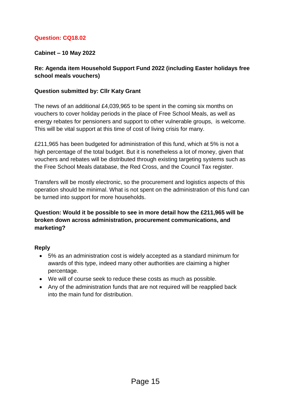## **Question: CQ18.02**

### **Cabinet – 10 May 2022**

### **Re: Agenda item Household Support Fund 2022 (including Easter holidays free school meals vouchers)**

#### **Question submitted by: Cllr Katy Grant**

The news of an additional £4,039,965 to be spent in the coming six months on vouchers to cover holiday periods in the place of Free School Meals, as well as energy rebates for pensioners and support to other vulnerable groups, is welcome. This will be vital support at this time of cost of living crisis for many.

£211,965 has been budgeted for administration of this fund, which at 5% is not a high percentage of the total budget. But it is nonetheless a lot of money, given that vouchers and rebates will be distributed through existing targeting systems such as the Free School Meals database, the Red Cross, and the Council Tax register.

Transfers will be mostly electronic, so the procurement and logistics aspects of this operation should be minimal. What is not spent on the administration of this fund can be turned into support for more households.

## **Question: Would it be possible to see in more detail how the £211,965 will be broken down across administration, procurement communications, and marketing?**

- 5% as an administration cost is widely accepted as a standard minimum for awards of this type, indeed many other authorities are claiming a higher percentage.
- We will of course seek to reduce these costs as much as possible.
- Any of the administration funds that are not required will be reapplied back into the main fund for distribution.